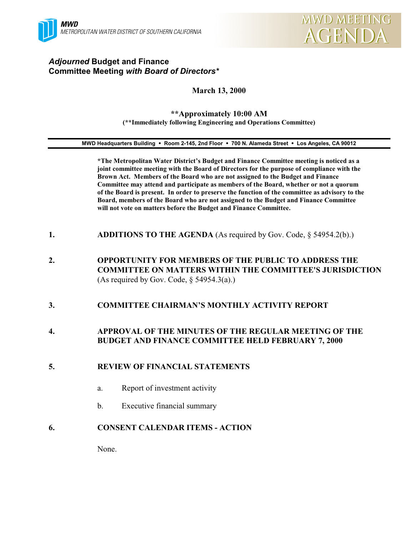

# *Adjourned* **Budget and Finance Committee Meeting** *with Board of Directors\**

#### **March 13, 2000**

#### **\*\*Approximately 10:00 AM (\*\*Immediately following Engineering and Operations Committee)**

#### **MWD Headquarters Building** ! **Room 2-145, 2nd Floor** ! **700 N. Alameda Street** ! **Los Angeles, CA 90012**

**\*The Metropolitan Water District's Budget and Finance Committee meeting is noticed as a joint committee meeting with the Board of Directors for the purpose of compliance with the Brown Act. Members of the Board who are not assigned to the Budget and Finance Committee may attend and participate as members of the Board, whether or not a quorum of the Board is present. In order to preserve the function of the committee as advisory to the Board, members of the Board who are not assigned to the Budget and Finance Committee will not vote on matters before the Budget and Finance Committee.**

- **1. ADDITIONS TO THE AGENDA** (As required by Gov. Code, § 54954.2(b).)
- **2. OPPORTUNITY FOR MEMBERS OF THE PUBLIC TO ADDRESS THE COMMITTEE ON MATTERS WITHIN THE COMMITTEE'S JURISDICTION** (As required by Gov. Code,  $\S$  54954.3(a).)
- **3. COMMITTEE CHAIRMAN'S MONTHLY ACTIVITY REPORT**

### **4. APPROVAL OF THE MINUTES OF THE REGULAR MEETING OF THE BUDGET AND FINANCE COMMITTEE HELD FEBRUARY 7, 2000**

#### **5. REVIEW OF FINANCIAL STATEMENTS**

- a. Report of investment activity
- b. Executive financial summary

#### **6. CONSENT CALENDAR ITEMS - ACTION**

None.